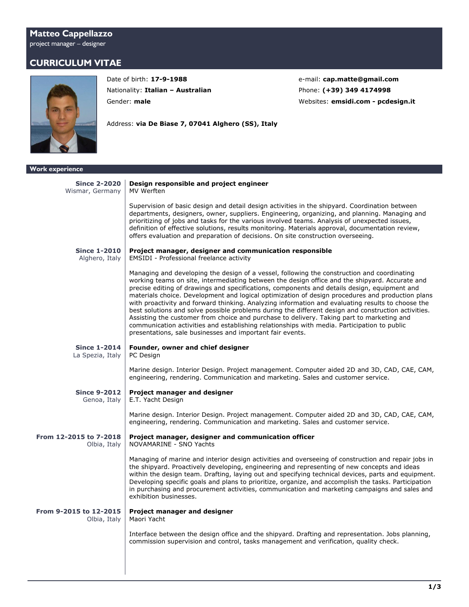## **Matteo Cappellazzo** project manager – designer

## **CURRICULUM VITAE**



Nationality: **Italian - Australian Phone: (+39) 349 4174998** 

Address: **via De Biase 7, 07041 Alghero (SS), Italy**

Date of birth: 17-9-1988 e-mail: **[cap.matte@gmail.com](mailto:cap.matte@gmail.com)** Gender: **male** Websites: **[emsidi.com](https://www.emsidi.com/) - [pcdesign.it](https://www.pcdesign.it/)**

| <b>Work experience</b>                 |                                                                                                                                                                                                                                                                                                                                                                                                                                                                                                                                                                                                                                                                                                                                                                                                                                                                        |
|----------------------------------------|------------------------------------------------------------------------------------------------------------------------------------------------------------------------------------------------------------------------------------------------------------------------------------------------------------------------------------------------------------------------------------------------------------------------------------------------------------------------------------------------------------------------------------------------------------------------------------------------------------------------------------------------------------------------------------------------------------------------------------------------------------------------------------------------------------------------------------------------------------------------|
| <b>Since 2-2020</b><br>Wismar, Germany | Design responsible and project engineer<br>MV Werften                                                                                                                                                                                                                                                                                                                                                                                                                                                                                                                                                                                                                                                                                                                                                                                                                  |
|                                        | Supervision of basic design and detail design activities in the shipyard. Coordination between<br>departments, designers, owner, suppliers. Engineering, organizing, and planning. Managing and<br>prioritizing of jobs and tasks for the various involved teams. Analysis of unexpected issues,<br>definition of effective solutions, results monitoring. Materials approval, documentation review,<br>offers evaluation and preparation of decisions. On site construction overseeing.                                                                                                                                                                                                                                                                                                                                                                               |
| <b>Since 1-2010</b><br>Alghero, Italy  | Project manager, designer and communication responsible<br><b>EMSIDI</b> - Professional freelance activity                                                                                                                                                                                                                                                                                                                                                                                                                                                                                                                                                                                                                                                                                                                                                             |
|                                        | Managing and developing the design of a vessel, following the construction and coordinating<br>working teams on site, intermediating between the design office and the shipyard. Accurate and<br>precise editing of drawings and specifications, components and details design, equipment and<br>materials choice. Development and logical optimization of design procedures and production plans<br>with proactivity and forward thinking. Analyzing information and evaluating results to choose the<br>best solutions and solve possible problems during the different design and construction activities.<br>Assisting the customer from choice and purchase to delivery. Taking part to marketing and<br>communication activities and establishing relationships with media. Participation to public<br>presentations, sale businesses and important fair events. |
| <b>Since 1-2014</b>                    | Founder, owner and chief designer                                                                                                                                                                                                                                                                                                                                                                                                                                                                                                                                                                                                                                                                                                                                                                                                                                      |
| La Spezia, Italy                       | PC Design                                                                                                                                                                                                                                                                                                                                                                                                                                                                                                                                                                                                                                                                                                                                                                                                                                                              |
|                                        | Marine design. Interior Design. Project management. Computer aided 2D and 3D, CAD, CAE, CAM,<br>engineering, rendering. Communication and marketing. Sales and customer service.                                                                                                                                                                                                                                                                                                                                                                                                                                                                                                                                                                                                                                                                                       |
| <b>Since 9-2012</b><br>Genoa, Italy    | Project manager and designer<br>E.T. Yacht Design                                                                                                                                                                                                                                                                                                                                                                                                                                                                                                                                                                                                                                                                                                                                                                                                                      |
|                                        | Marine design. Interior Design. Project management. Computer aided 2D and 3D, CAD, CAE, CAM,<br>engineering, rendering. Communication and marketing. Sales and customer service.                                                                                                                                                                                                                                                                                                                                                                                                                                                                                                                                                                                                                                                                                       |
| From 12-2015 to 7-2018<br>Olbia, Italy | Project manager, designer and communication officer<br>NOVAMARINE - SNO Yachts                                                                                                                                                                                                                                                                                                                                                                                                                                                                                                                                                                                                                                                                                                                                                                                         |
|                                        | Managing of marine and interior design activities and overseeing of construction and repair jobs in<br>the shipyard. Proactively developing, engineering and representing of new concepts and ideas<br>within the design team. Drafting, laying out and specifying technical devices, parts and equipment.<br>Developing specific goals and plans to prioritize, organize, and accomplish the tasks. Participation<br>in purchasing and procurement activities, communication and marketing campaigns and sales and<br>exhibition businesses.                                                                                                                                                                                                                                                                                                                          |
| From 9-2015 to 12-2015<br>Olbia, Italy | Project manager and designer<br>Maori Yacht                                                                                                                                                                                                                                                                                                                                                                                                                                                                                                                                                                                                                                                                                                                                                                                                                            |
|                                        | Interface between the design office and the shipyard. Drafting and representation. Jobs planning,<br>commission supervision and control, tasks management and verification, quality check.                                                                                                                                                                                                                                                                                                                                                                                                                                                                                                                                                                                                                                                                             |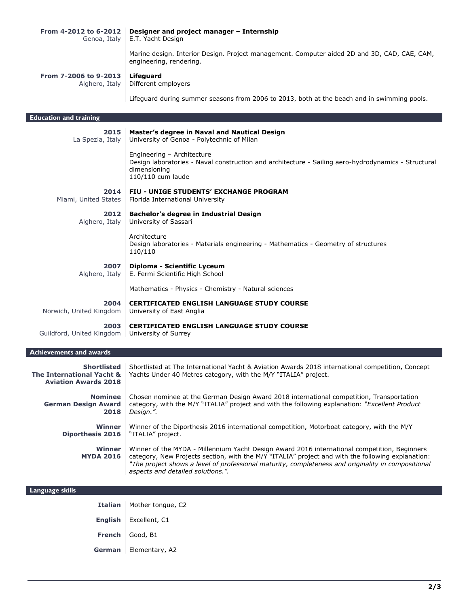| From 4-2012 to 6-2012 | Designer and project manager - Internship<br>Genoa, Italy   E.T. Yacht Design                                           |
|-----------------------|-------------------------------------------------------------------------------------------------------------------------|
|                       | Marine design. Interior Design. Project management. Computer aided 2D and 3D, CAD, CAE, CAM,<br>engineering, rendering. |
| From 7-2006 to 9-2013 | Lifeguard<br>Alghero, Italy   Different employers                                                                       |
|                       | Lifeguard during summer seasons from 2006 to 2013, both at the beach and in swimming pools.                             |

**Education and training 2015** La Spezia, Italy **Master's degree in Naval and Nautical Design** University of Genoa - Polytechnic of Milan Engineering – Architecture Design laboratories - Naval construction and architecture - Sailing aero-hydrodynamics - Structural dimensioning 110/110 cum laude **2014** Miami, United States **FIU - UNIGE STUDENTS' EXCHANGE PROGRAM** Florida International University **2012** Alghero, Italy **Bachelor's degree in Industrial Design** University of Sassari Architecture Design laboratories - Materials engineering - Mathematics - Geometry of structures 110/110 **2007** Alghero, Italy **Diploma - Scientific Lyceum** E. Fermi Scientific High School Mathematics - Physics - Chemistry - Natural sciences **2004** Norwich, United Kingdom **CERTIFICATED ENGLISH LANGUAGE STUDY COURSE** University of East Anglia **2003** Guildford, United Kingdom **CERTIFICATED ENGLISH LANGUAGE STUDY COURSE** University of Surrey

## **Achievements and awards**

| <b>Shortlisted</b><br>The International Yacht &<br><b>Aviation Awards 2018</b> | Shortlisted at The International Yacht & Aviation Awards 2018 international competition, Concept<br>Yachts Under 40 Metres category, with the M/Y "ITALIA" project.                                                                                                                                                                          |
|--------------------------------------------------------------------------------|----------------------------------------------------------------------------------------------------------------------------------------------------------------------------------------------------------------------------------------------------------------------------------------------------------------------------------------------|
| <b>Nominee</b>                                                                 | Chosen nominee at the German Design Award 2018 international competition, Transportation                                                                                                                                                                                                                                                     |
| <b>German Design Award</b>                                                     | category, with the M/Y "ITALIA" project and with the following explanation: "Excellent Product                                                                                                                                                                                                                                               |
| 2018                                                                           | Desian.".                                                                                                                                                                                                                                                                                                                                    |
| Winner                                                                         | Winner of the Diporthesis 2016 international competition, Motorboat category, with the M/Y                                                                                                                                                                                                                                                   |
| <b>Diporthesis 2016</b>                                                        | "ITALIA" project.                                                                                                                                                                                                                                                                                                                            |
| Winner<br><b>MYDA 2016</b>                                                     | Winner of the MYDA - Millennium Yacht Design Award 2016 international competition, Beginners<br>category, New Projects section, with the M/Y "ITALIA" project and with the following explanation:<br>"The project shows a level of professional maturity, completeness and originality in compositional<br>aspects and detailed solutions.". |

| Language skills |                                      |
|-----------------|--------------------------------------|
|                 | <b>Italian</b>   Mother tongue, $C2$ |
|                 | English   Excellent, C1              |
|                 | French $\Big $ Good, B1              |
|                 | German   Elementary, A2              |
|                 |                                      |